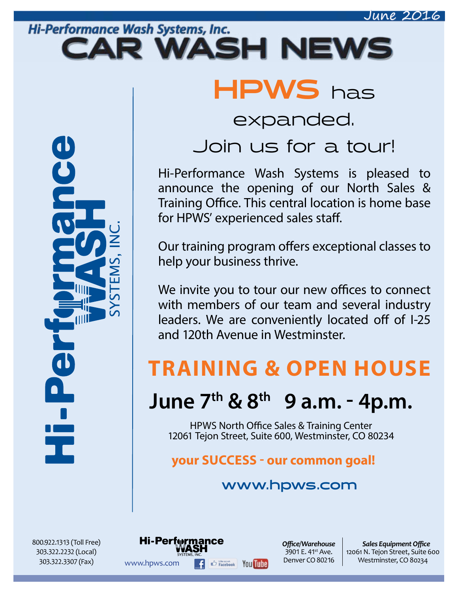## Hi-Performance Wash Systems, Inc. CAR WASH NEWS

UU T

HPWS has

## expanded.

# Join us for a tour!

Hi-Performance Wash Systems is pleased to announce the opening of our North Sales & Training Office. This central location is home base for HPWS' experienced sales staff.

Our training program offers exceptional classes to help your business thrive.

We invite you to tour our new offices to connect with members of our team and several industry leaders. We are conveniently located off of I-25 and 120th Avenue in Westminster.

# **TRAINING & OPEN HOUSE**

# **June 7th & 8th 9 a.m. - 4p.m.**

HPWS North Office Sales & Training Center 12061 Tejon Street, Suite 600, Westminster, CO 80234

## **your SUCCESS - our common goal!**

WWW.hpws.com **F**  $\bigoplus_{\text{Facebook}}$  You The Denver CO 80216 Westminster, CO 80234

Hi-Perf⊕rmance

## **www.hpws.com**

*Offi ce/Warehouse* 3901 E. 41<sup>st</sup> Ave. Denver CO 80216

**Sales Equipment Office** 12061 N. Tejon Street, Suite 600

800.922.1313 (Toll Free) 303.322.2232 (Local) 303.322.3307 (Fax)